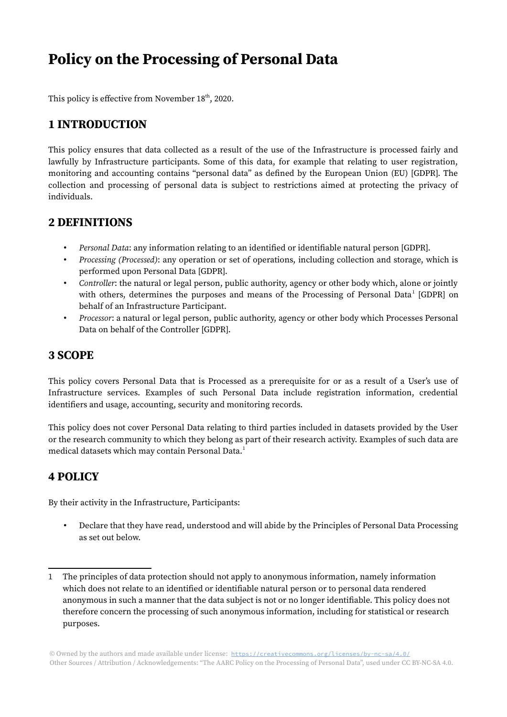# Policy on the Processing of Personal Data

This policy is effective from November  $18<sup>th</sup>$ , 2020.

## 1 INTRODUCTION

This policy ensures that data collected as a result of the use of the Infrastructure is processed fairly and lawfully by Infrastructure participants. Some of this data, for example that relating to user registration, monitoring and accounting contains "personal data" as defined by the European Union (EU) [GDPR]. The collection and processing of personal data is subject to restrictions aimed at protecting the privacy of individuals.

#### 2 DEFINITIONS

- Personal Data: any information relating to an identified or identifiable natural person [GDPR].
- Processing (Processed): any operation or set of operations, including collection and storage, which is performed upon Personal Data [GDPR].
- Controller: the natural or legal person, public authority, agency or other body which, alone or jointly with others, determines the purposes and means of the Processing of Personal Data<sup>[1](#page-0-0)</sup> [GDPR] on behalf of an Infrastructure Participant.
- Processor: a natural or legal person, public authority, agency or other body which Processes Personal Data on behalf of the Controller [GDPR].

#### 3 SCOPE

This policy covers Personal Data that is Processed as a prerequisite for or as a result of a User's use of Infrastructure services. Examples of such Personal Data include registration information, credential identifiers and usage, accounting, security and monitoring records.

This policy does not cover Personal Data relating to third parties included in datasets provided by the User or the research community to which they belong as part of their research activity. Examples of such data are medical datasets which may contain Personal Data.<sup>[1](#page-0-0)</sup>

## 4 POLICY

By their activity in the Infrastructure, Participants:

• Declare that they have read, understood and will abide by the Principles of Personal Data Processing as set out below.

<span id="page-0-0"></span><sup>1</sup> The principles of data protection should not apply to anonymous information, namely information which does not relate to an identified or identifiable natural person or to personal data rendered anonymous in such a manner that the data subject is not or no longer identifiable. This policy does not therefore concern the processing of such anonymous information, including for statistical or research purposes.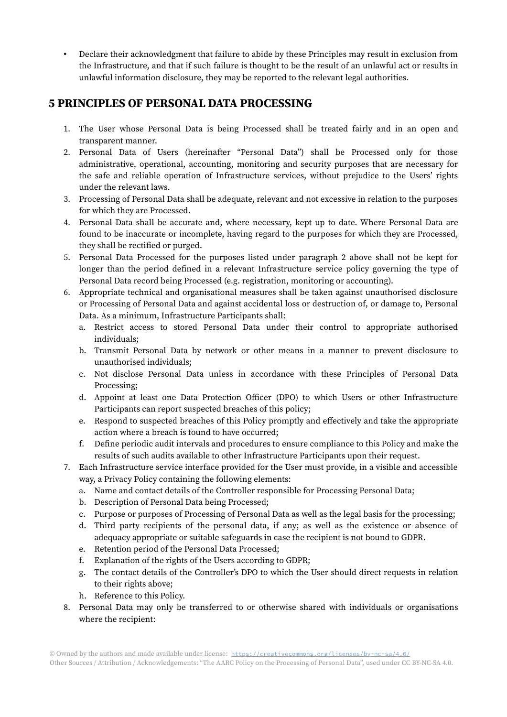• Declare their acknowledgment that failure to abide by these Principles may result in exclusion from the Infrastructure, and that if such failure is thought to be the result of an unlawful act or results in unlawful information disclosure, they may be reported to the relevant legal authorities.

### 5 PRINCIPLES OF PERSONAL DATA PROCESSING

- 1. The User whose Personal Data is being Processed shall be treated fairly and in an open and transparent manner.
- 2. Personal Data of Users (hereinafter "Personal Data") shall be Processed only for those administrative, operational, accounting, monitoring and security purposes that are necessary for the safe and reliable operation of Infrastructure services, without prejudice to the Users' rights under the relevant laws.
- 3. Processing of Personal Data shall be adequate, relevant and not excessive in relation to the purposes for which they are Processed.
- 4. Personal Data shall be accurate and, where necessary, kept up to date. Where Personal Data are found to be inaccurate or incomplete, having regard to the purposes for which they are Processed, they shall be rectified or purged.
- 5. Personal Data Processed for the purposes listed under paragraph 2 above shall not be kept for longer than the period defined in a relevant Infrastructure service policy governing the type of Personal Data record being Processed (e.g. registration, monitoring or accounting).
- 6. Appropriate technical and organisational measures shall be taken against unauthorised disclosure or Processing of Personal Data and against accidental loss or destruction of, or damage to, Personal Data. As a minimum, Infrastructure Participants shall:
	- a. Restrict access to stored Personal Data under their control to appropriate authorised individuals;
	- b. Transmit Personal Data by network or other means in a manner to prevent disclosure to unauthorised individuals;
	- c. Not disclose Personal Data unless in accordance with these Principles of Personal Data Processing;
	- d. Appoint at least one Data Protection Officer (DPO) to which Users or other Infrastructure Participants can report suspected breaches of this policy;
	- e. Respond to suspected breaches of this Policy promptly and effectively and take the appropriate action where a breach is found to have occurred;
	- f. Define periodic audit intervals and procedures to ensure compliance to this Policy and make the results of such audits available to other Infrastructure Participants upon their request.
- 7. Each Infrastructure service interface provided for the User must provide, in a visible and accessible way, a Privacy Policy containing the following elements:
	- a. Name and contact details of the Controller responsible for Processing Personal Data;
	- b. Description of Personal Data being Processed;
	- c. Purpose or purposes of Processing of Personal Data as well as the legal basis for the processing;
	- d. Third party recipients of the personal data, if any; as well as the existence or absence of adequacy appropriate or suitable safeguards in case the recipient is not bound to GDPR.
	- e. Retention period of the Personal Data Processed;
	- f. Explanation of the rights of the Users according to GDPR;
	- g. The contact details of the Controller's DPO to which the User should direct requests in relation to their rights above;
	- h. Reference to this Policy.
- 8. Personal Data may only be transferred to or otherwise shared with individuals or organisations where the recipient: